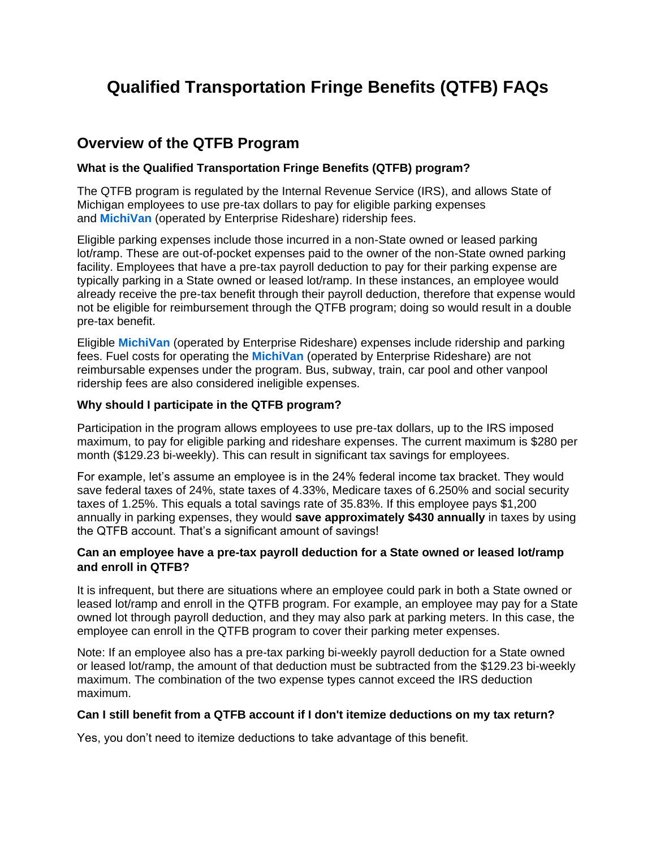# **Qualified Transportation Fringe Benefits (QTFB) FAQs**

## **Overview of the QTFB Program**

## **What is the Qualified Transportation Fringe Benefits (QTFB) program?**

The QTFB program is regulated by the Internal Revenue Service (IRS), and allows State of Michigan employees to use pre-tax dollars to pay for eligible parking expenses and **[MichiVan](http://www.mi.gov/mdot/0,4616,7-151-9615_11228-166587--,00.html)** (operated by Enterprise Rideshare) ridership fees.

Eligible parking expenses include those incurred in a non-State owned or leased parking lot/ramp. These are out-of-pocket expenses paid to the owner of the non-State owned parking facility. Employees that have a pre-tax payroll deduction to pay for their parking expense are typically parking in a State owned or leased lot/ramp. In these instances, an employee would already receive the pre-tax benefit through their payroll deduction, therefore that expense would not be eligible for reimbursement through the QTFB program; doing so would result in a double pre-tax benefit.

Eligible **[MichiVan](http://www.mi.gov/mdot/0,4616,7-151-9615_11228-166587--,00.html)** (operated by Enterprise Rideshare) expenses include ridership and parking fees. Fuel costs for operating the **[MichiVan](http://www.mi.gov/mdot/0,4616,7-151-9615_11228-166587--,00.html)** (operated by Enterprise Rideshare) are not reimbursable expenses under the program. Bus, subway, train, car pool and other vanpool ridership fees are also considered ineligible expenses.

## **Why should I participate in the QTFB program?**

Participation in the program allows employees to use pre-tax dollars, up to the IRS imposed maximum, to pay for eligible parking and rideshare expenses. The current maximum is \$280 per month (\$129.23 bi-weekly). This can result in significant tax savings for employees.

For example, let's assume an employee is in the 24% federal income tax bracket. They would save federal taxes of 24%, state taxes of 4.33%, Medicare taxes of 6.250% and social security taxes of 1.25%. This equals a total savings rate of 35.83%. If this employee pays \$1,200 annually in parking expenses, they would **save approximately \$430 annually** in taxes by using the QTFB account. That's a significant amount of savings!

## **Can an employee have a pre-tax payroll deduction for a State owned or leased lot/ramp and enroll in QTFB?**

It is infrequent, but there are situations where an employee could park in both a State owned or leased lot/ramp and enroll in the QTFB program. For example, an employee may pay for a State owned lot through payroll deduction, and they may also park at parking meters. In this case, the employee can enroll in the QTFB program to cover their parking meter expenses.

Note: If an employee also has a pre-tax parking bi-weekly payroll deduction for a State owned or leased lot/ramp, the amount of that deduction must be subtracted from the \$129.23 bi-weekly maximum. The combination of the two expense types cannot exceed the IRS deduction maximum.

## **Can I still benefit from a QTFB account if I don't itemize deductions on my tax return?**

Yes, you don't need to itemize deductions to take advantage of this benefit.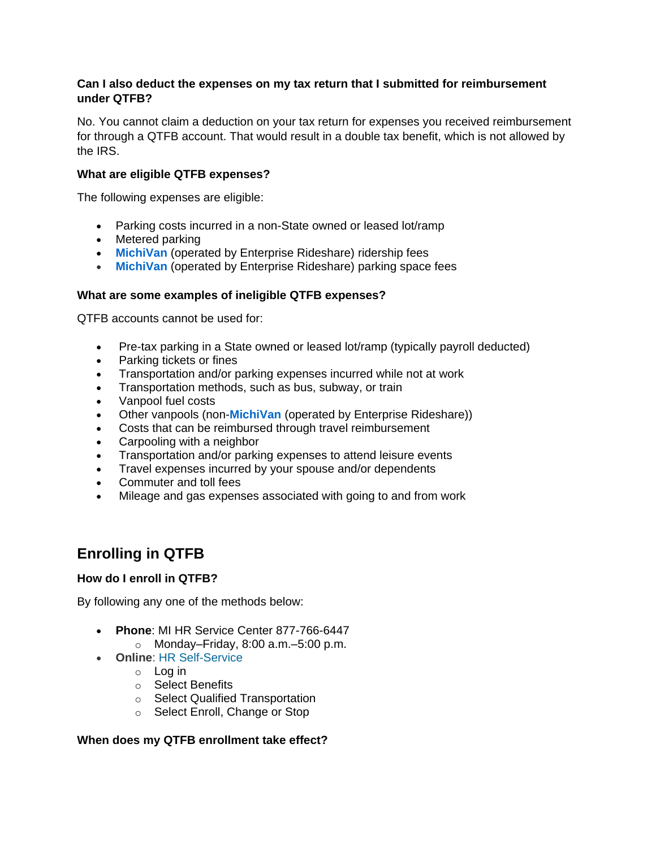## **Can I also deduct the expenses on my tax return that I submitted for reimbursement under QTFB?**

No. You cannot claim a deduction on your tax return for expenses you received reimbursement for through a QTFB account. That would result in a double tax benefit, which is not allowed by the IRS.

## **What are eligible QTFB expenses?**

The following expenses are eligible:

- Parking costs incurred in a non-State owned or leased lot/ramp
- Metered parking
- **[MichiVan](http://www.mi.gov/mdot/0,4616,7-151-9615_11228-166587--,00.html)** (operated by Enterprise Rideshare) ridership fees
- **[MichiVan](http://www.mi.gov/mdot/0,4616,7-151-9615_11228-166587--,00.html)** (operated by Enterprise Rideshare) parking space fees

## **What are some examples of ineligible QTFB expenses?**

QTFB accounts cannot be used for:

- Pre-tax parking in a State owned or leased lot/ramp (typically payroll deducted)
- Parking tickets or fines
- Transportation and/or parking expenses incurred while not at work
- Transportation methods, such as bus, subway, or train
- Vanpool fuel costs
- Other vanpools (non-**[MichiVan](http://www.mi.gov/mdot/0,4616,7-151-9615_11228-166587--,00.html)** (operated by Enterprise Rideshare))
- Costs that can be reimbursed through travel reimbursement
- Carpooling with a neighbor
- Transportation and/or parking expenses to attend leisure events
- Travel expenses incurred by your spouse and/or dependents
- Commuter and toll fees
- Mileage and gas expenses associated with going to and from work

## **Enrolling in QTFB**

### **How do I enroll in QTFB?**

By following any one of the methods below:

- **Phone**: MI HR Service Center 877-766-6447
	- $\circ$  Monday–Friday, 8:00 a.m.–5:00 p.m.
- **Online**: [HR Self-Service](http://www.michigan.gov/selfserv)
	- o Log in
	- o Select Benefits
	- o Select Qualified Transportation
	- o Select Enroll, Change or Stop

### **When does my QTFB enrollment take effect?**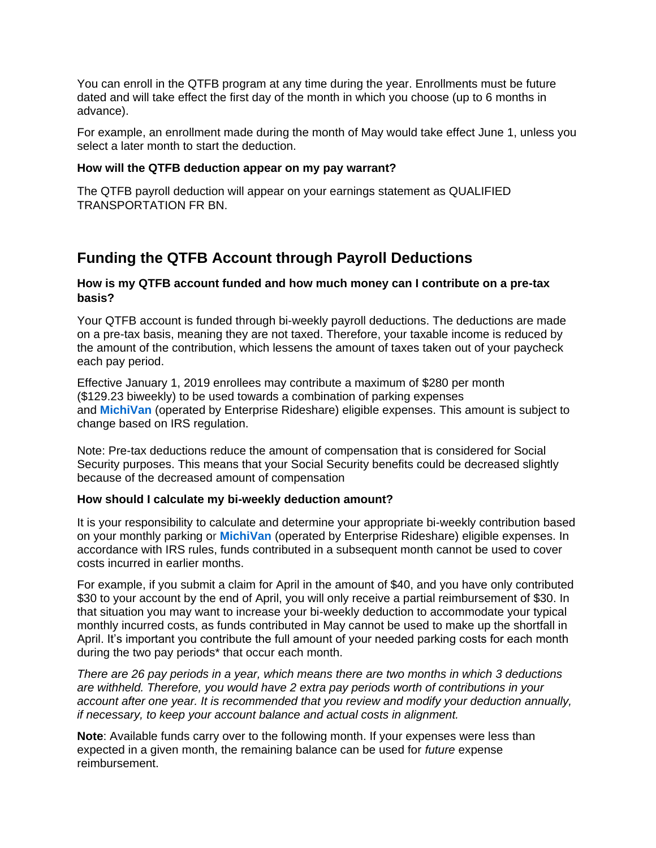You can enroll in the QTFB program at any time during the year. Enrollments must be future dated and will take effect the first day of the month in which you choose (up to 6 months in advance).

For example, an enrollment made during the month of May would take effect June 1, unless you select a later month to start the deduction.

## **How will the QTFB deduction appear on my pay warrant?**

The QTFB payroll deduction will appear on your earnings statement as QUALIFIED TRANSPORTATION FR BN.

## **Funding the QTFB Account through Payroll Deductions**

## **How is my QTFB account funded and how much money can I contribute on a pre-tax basis?**

Your QTFB account is funded through bi-weekly payroll deductions. The deductions are made on a pre-tax basis, meaning they are not taxed. Therefore, your taxable income is reduced by the amount of the contribution, which lessens the amount of taxes taken out of your paycheck each pay period.

Effective January 1, 2019 enrollees may contribute a maximum of \$280 per month (\$129.23 biweekly) to be used towards a combination of parking expenses and **[MichiVan](http://www.mi.gov/mdot/0,4616,7-151-9615_11228-166587--,00.html)** (operated by Enterprise Rideshare) eligible expenses. This amount is subject to change based on IRS regulation.

Note: Pre-tax deductions reduce the amount of compensation that is considered for Social Security purposes. This means that your Social Security benefits could be decreased slightly because of the decreased amount of compensation

### **How should I calculate my bi-weekly deduction amount?**

It is your responsibility to calculate and determine your appropriate bi-weekly contribution based on your monthly parking or **[MichiVan](http://www.mi.gov/mdot/0,4616,7-151-9615_11228-166587--,00.html)** (operated by Enterprise Rideshare) eligible expenses. In accordance with IRS rules, funds contributed in a subsequent month cannot be used to cover costs incurred in earlier months.

For example, if you submit a claim for April in the amount of \$40, and you have only contributed \$30 to your account by the end of April, you will only receive a partial reimbursement of \$30. In that situation you may want to increase your bi-weekly deduction to accommodate your typical monthly incurred costs, as funds contributed in May cannot be used to make up the shortfall in April. It's important you contribute the full amount of your needed parking costs for each month during the two pay periods\* that occur each month.

*There are 26 pay periods in a year, which means there are two months in which 3 deductions are withheld. Therefore, you would have 2 extra pay periods worth of contributions in your account after one year. It is recommended that you review and modify your deduction annually, if necessary, to keep your account balance and actual costs in alignment.*

**Note**: Available funds carry over to the following month. If your expenses were less than expected in a given month, the remaining balance can be used for *future* expense reimbursement.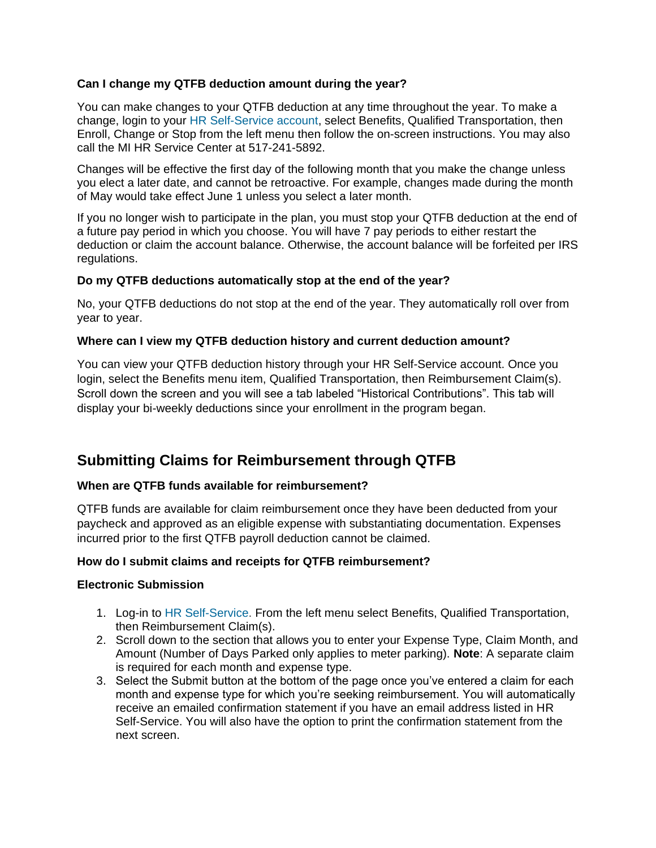## **Can I change my QTFB deduction amount during the year?**

You can make changes to your QTFB deduction at any time throughout the year. To make a change, login to your [HR Self-Service account,](https://www.michigan.gov/mdcs/0,4614,7-147-64549---,00.html) select Benefits, Qualified Transportation, then Enroll, Change or Stop from the left menu then follow the on-screen instructions. You may also call the MI HR Service Center at 517-241-5892.

Changes will be effective the first day of the following month that you make the change unless you elect a later date, and cannot be retroactive. For example, changes made during the month of May would take effect June 1 unless you select a later month.

If you no longer wish to participate in the plan, you must stop your QTFB deduction at the end of a future pay period in which you choose. You will have 7 pay periods to either restart the deduction or claim the account balance. Otherwise, the account balance will be forfeited per IRS regulations.

## **Do my QTFB deductions automatically stop at the end of the year?**

No, your QTFB deductions do not stop at the end of the year. They automatically roll over from year to year.

## **Where can I view my QTFB deduction history and current deduction amount?**

You can view your QTFB deduction history through your [HR Self-Service](https://www.michigan.gov/mdcs/0,4614,7-147-64549---,00.html) account. Once you login, select the Benefits menu item, Qualified Transportation, then Reimbursement Claim(s). Scroll down the screen and you will see a tab labeled "Historical Contributions". This tab will display your bi-weekly deductions since your enrollment in the program began.

## **Submitting Claims for Reimbursement through QTFB**

## **When are QTFB funds available for reimbursement?**

QTFB funds are available for claim reimbursement once they have been deducted from your paycheck and approved as an eligible expense with substantiating documentation. Expenses incurred prior to the first QTFB payroll deduction cannot be claimed.

## **How do I submit claims and receipts for QTFB reimbursement?**

### **Electronic Submission**

- 1. Log-in to [HR Self-Service.](https://www.michigan.gov/mdcs/0,4614,7-147-64549---,00.html) From the left menu select Benefits, Qualified Transportation, then Reimbursement Claim(s).
- 2. Scroll down to the section that allows you to enter your Expense Type, Claim Month, and Amount (Number of Days Parked only applies to meter parking). **Note**: A separate claim is required for each month and expense type.
- 3. Select the Submit button at the bottom of the page once you've entered a claim for each month and expense type for which you're seeking reimbursement. You will automatically receive an emailed confirmation statement if you have an email address listed in HR Self-Service. You will also have the option to print the confirmation statement from the next screen.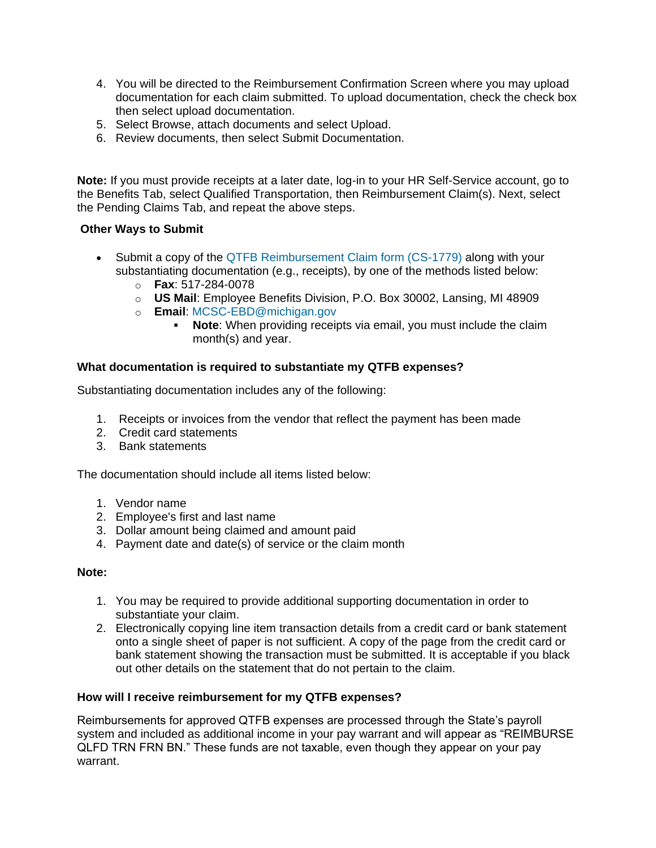- 4. You will be directed to the Reimbursement Confirmation Screen where you may upload documentation for each claim submitted. To upload documentation, check the check box then select upload documentation.
- 5. Select Browse, attach documents and select Upload.
- 6. Review documents, then select Submit Documentation.

**Note:** If you must provide receipts at a later date, log-in to your HR Self-Service account, go to the Benefits Tab, select Qualified Transportation, then Reimbursement Claim(s). Next, select the Pending Claims Tab, and repeat the above steps.

## **Other Ways to Submit**

- Submit a copy of the [QTFB Reimbursement Claim form \(CS-1779\)](https://www.michigan.gov/documents/mdcs/QTFB_Reimbursement_Claim_Form_419872_7.pdf) along with your substantiating documentation (e.g., receipts), by one of the methods listed below:
	- o **Fax**: 517-284-0078
	- o **US Mail**: Employee Benefits Division, P.O. Box 30002, Lansing, MI 48909
	- o **Email**: [MCSC-EBD@michigan.gov](mailto:MCSC-EBD@michigan.gov)
		- **Note:** When providing receipts via email, you must include the claim month(s) and year.

## **What documentation is required to substantiate my QTFB expenses?**

Substantiating documentation includes any of the following:

- 1. Receipts or invoices from the vendor that reflect the payment has been made
- 2. Credit card statements
- 3. Bank statements

The documentation should include all items listed below:

- 1. Vendor name
- 2. Employee's first and last name
- 3. Dollar amount being claimed and amount paid
- 4. Payment date and date(s) of service or the claim month

## **Note:**

- 1. You may be required to provide additional supporting documentation in order to substantiate your claim.
- 2. Electronically copying line item transaction details from a credit card or bank statement onto a single sheet of paper is not sufficient. A copy of the page from the credit card or bank statement showing the transaction must be submitted. It is acceptable if you black out other details on the statement that do not pertain to the claim.

### **How will I receive reimbursement for my QTFB expenses?**

Reimbursements for approved QTFB expenses are processed through the State's payroll system and included as additional income in your pay warrant and will appear as "REIMBURSE QLFD TRN FRN BN." These funds are not taxable, even though they appear on your pay warrant.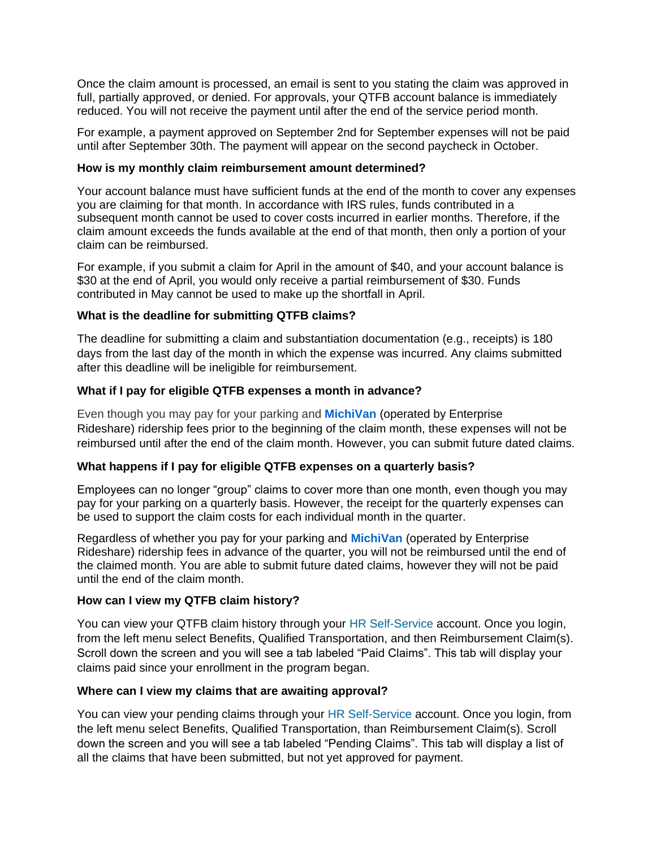Once the claim amount is processed, an email is sent to you stating the claim was approved in full, partially approved, or denied. For approvals, your QTFB account balance is immediately reduced. You will not receive the payment until after the end of the service period month.

For example, a payment approved on September 2nd for September expenses will not be paid until after September 30th. The payment will appear on the second paycheck in October.

## **How is my monthly claim reimbursement amount determined?**

Your account balance must have sufficient funds at the end of the month to cover any expenses you are claiming for that month. In accordance with IRS rules, funds contributed in a subsequent month cannot be used to cover costs incurred in earlier months. Therefore, if the claim amount exceeds the funds available at the end of that month, then only a portion of your claim can be reimbursed.

For example, if you submit a claim for April in the amount of \$40, and your account balance is \$30 at the end of April, you would only receive a partial reimbursement of \$30. Funds contributed in May cannot be used to make up the shortfall in April.

## **What is the deadline for submitting QTFB claims?**

The deadline for submitting a claim and substantiation documentation (e.g., receipts) is 180 days from the last day of the month in which the expense was incurred. Any claims submitted after this deadline will be ineligible for reimbursement.

## **What if I pay for eligible QTFB expenses a month in advance?**

Even though you may pay for your parking and **[MichiVan](http://www.mi.gov/mdot/0,4616,7-151-9615_11228-166587--,00.html)** (operated by Enterprise Rideshare) ridership fees prior to the beginning of the claim month, these expenses will not be reimbursed until after the end of the claim month. However, you can submit future dated claims.

### **What happens if I pay for eligible QTFB expenses on a quarterly basis?**

Employees can no longer "group" claims to cover more than one month, even though you may pay for your parking on a quarterly basis. However, the receipt for the quarterly expenses can be used to support the claim costs for each individual month in the quarter.

Regardless of whether you pay for your parking and **[MichiVan](http://www.mi.gov/mdot/0,4616,7-151-9615_11228-166587--,00.html)** (operated by Enterprise Rideshare) ridership fees in advance of the quarter, you will not be reimbursed until the end of the claimed month. You are able to submit future dated claims, however they will not be paid until the end of the claim month.

### **How can I view my QTFB claim history?**

You can view your QTFB claim history through your [HR Self-Service](https://www.michigan.gov/mdcs/0,4614,7-147-64549---,00.html) account. Once you login, from the left menu select Benefits, Qualified Transportation, and then Reimbursement Claim(s). Scroll down the screen and you will see a tab labeled "Paid Claims". This tab will display your claims paid since your enrollment in the program began.

### **Where can I view my claims that are awaiting approval?**

You can view your pending claims through your [HR Self-Service](https://www.michigan.gov/mdcs/0,4614,7-147-64549---,00.html) account. Once you login, from the left menu select Benefits, Qualified Transportation, than Reimbursement Claim(s). Scroll down the screen and you will see a tab labeled "Pending Claims". This tab will display a list of all the claims that have been submitted, but not yet approved for payment.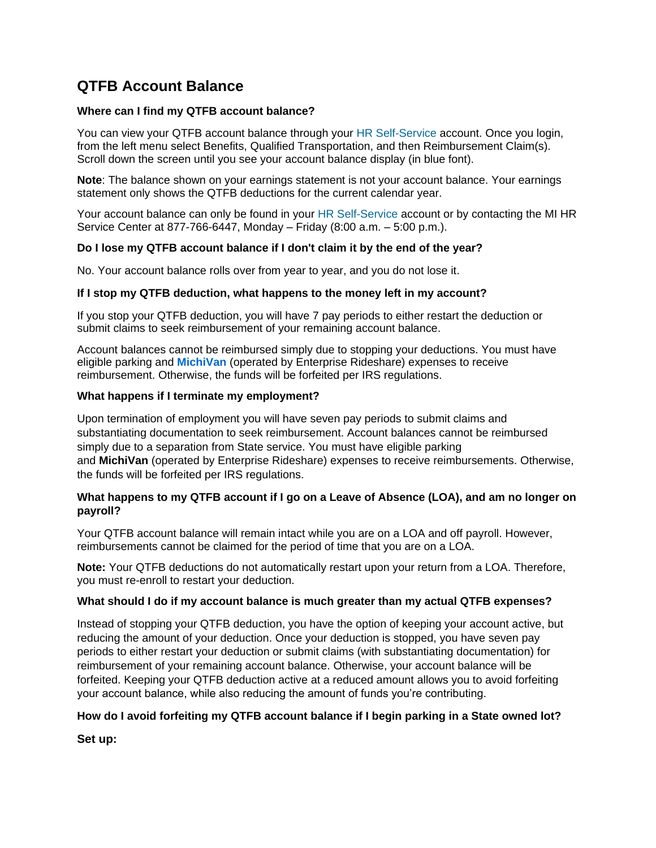## **QTFB Account Balance**

#### **Where can I find my QTFB account balance?**

You can view your QTFB account balance through your [HR Self-Service](https://www.michigan.gov/mdcs/0,4614,7-147-64549---,00.html) account. Once you login, from the left menu select Benefits, Qualified Transportation, and then Reimbursement Claim(s). Scroll down the screen until you see your account balance display (in blue font).

**Note**: The balance shown on your earnings statement is not your account balance. Your earnings statement only shows the QTFB deductions for the current calendar year.

Your account balance can only be found in your [HR Self-Service](https://www.michigan.gov/mdcs/0,4614,7-147-64549---,00.html) account or by contacting the MI HR Service Center at 877-766-6447, Monday – Friday (8:00 a.m. – 5:00 p.m.).

#### **Do I lose my QTFB account balance if I don't claim it by the end of the year?**

No. Your account balance rolls over from year to year, and you do not lose it.

#### **If I stop my QTFB deduction, what happens to the money left in my account?**

If you stop your QTFB deduction, you will have 7 pay periods to either restart the deduction or submit claims to seek reimbursement of your remaining account balance.

Account balances cannot be reimbursed simply due to stopping your deductions. You must have eligible parking and **[MichiVan](http://www.mi.gov/mdot/0,4616,7-151-9615_11228-166587--,00.html)** (operated by Enterprise Rideshare) expenses to receive reimbursement. Otherwise, the funds will be forfeited per IRS regulations.

#### **What happens if I terminate my employment?**

Upon termination of employment you will have seven pay periods to submit claims and substantiating documentation to seek reimbursement. Account balances cannot be reimbursed simply due to a separation from State service. You must have eligible parking and **[MichiVan](http://www.mi.gov/mdot/0,4616,7-151-9615_11228-166587--,00.html)** (operated by Enterprise Rideshare) expenses to receive reimbursements. Otherwise, the funds will be forfeited per IRS regulations.

### **What happens to my QTFB account if I go on a Leave of Absence (LOA), and am no longer on payroll?**

Your QTFB account balance will remain intact while you are on a LOA and off payroll. However, reimbursements cannot be claimed for the period of time that you are on a LOA.

**Note:** Your QTFB deductions do not automatically restart upon your return from a LOA. Therefore, you must re-enroll to restart your deduction.

#### **What should I do if my account balance is much greater than my actual QTFB expenses?**

Instead of stopping your QTFB deduction, you have the option of keeping your account active, but reducing the amount of your deduction. Once your deduction is stopped, you have seven pay periods to either restart your deduction or submit claims (with substantiating documentation) for reimbursement of your remaining account balance. Otherwise, your account balance will be forfeited. Keeping your QTFB deduction active at a reduced amount allows you to avoid forfeiting your account balance, while also reducing the amount of funds you're contributing.

### **How do I avoid forfeiting my QTFB account balance if I begin parking in a State owned lot?**

**Set up:**